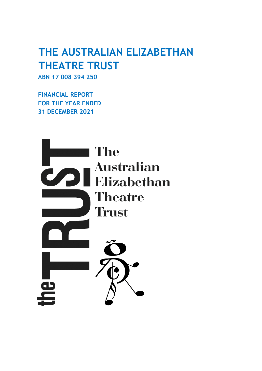# **THE AUSTRALIAN ELIZABETHAN THEATRE TRUST**

**ABN 17 008 394 250**

**FINANCIAL REPORT FOR THE YEAR ENDED 31 DECEMBER 2021**

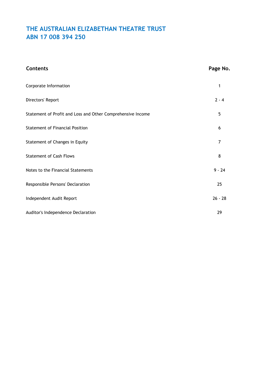| <b>Contents</b>                                             | Page No.  |
|-------------------------------------------------------------|-----------|
| Corporate Information                                       | 1         |
| Directors' Report                                           | $2 - 4$   |
| Statement of Profit and Loss and Other Comprehensive Income | 5         |
| <b>Statement of Financial Position</b>                      | 6         |
| Statement of Changes in Equity                              | 7         |
| <b>Statement of Cash Flows</b>                              | 8         |
| Notes to the Financial Statements                           | $9 - 24$  |
| Responsible Persons' Declaration                            | 25        |
| Independent Audit Report                                    | $26 - 28$ |
| Auditor's Independence Declaration                          | 29        |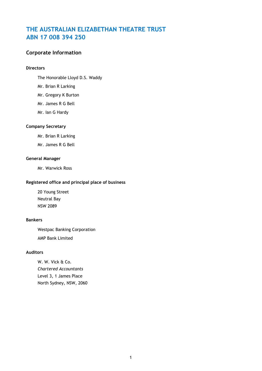### **Corporate Information**

#### **Directors**

- The Honorable Lloyd D.S. Waddy
- Mr. Brian R Larking
- Mr. Gregory K Burton
- Mr. James R G Bell
- Mr. Ian G Hardy

#### **Company Secretary**

- Mr. Brian R Larking
- Mr. James R G Bell

#### **General Manager**

Mr. Warwick Ross

### **Registered office and principal place of business**

20 Young Street Neutral Bay NSW 2089

#### **Bankers**

Westpac Banking Corporation AMP Bank Limited

#### **Auditors**

W. W. Vick & Co. *Chartered Accountants* Level 3, 1 James Place North Sydney, NSW, 2060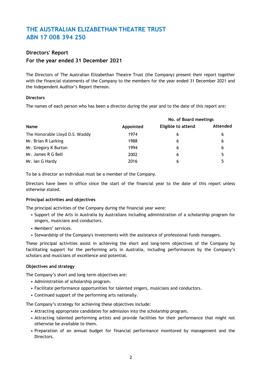#### **Directors' Report**

#### **For the year ended 31 December 2021**

The Directors of The Australian Elizabethan Theatre Trust (the Company) present their report together with the financial statements of the Company to the members for the year ended 31 December 2021 and the Independent Auditor's Report thereon.

#### **Directors**

The names of each person who has been a director during the year and to the date of this report are:

|                                |           | No. of Board meetings     |          |  |
|--------------------------------|-----------|---------------------------|----------|--|
| <b>Name</b>                    | Appointed | <b>Eligible to attend</b> | Attended |  |
| The Honorable Lloyd D.S. Waddy | 1974      | b                         | 6        |  |
| Mr. Brian R Larking            | 1988      | 6                         | 6        |  |
| Mr. Gregory K Burton           | 1994      | 6                         | 6        |  |
| Mr. James R G Bell             | 2002      | 6                         | 5        |  |
| Mr. Ian G Hardy                | 2016      | 6                         |          |  |

To be a director an individual must be a member of the Company.

Directors have been in office since the start of the financial year to the date of this report unless otherwise stated.

#### **Principal activities and objectives**

The principal activities of the Company during the financial year were:

- Support of the Arts in Australia by Australians including administration of a scholarship program for singers, musicians and conductors.
- Members' services.
- Stewardship of the Company's investments with the assistance of professional funds managers.

These principal activities assist in achieving the short and long-term objectives of the Company by facilitating support for the performing arts in Australia, including performances by the Company's scholars and musicians of excellence and potential.

#### **Objectives and strategy**

The Company's short and long-term objectives are:

- Administration of scholarship program.
- Facilitate performance opportunities for talented singers, musicians and conductors.
- Continued support of the performing arts nationally.

The Company's strategy for achieving these objectives include:

- Attracting appropriate candidates for admission into the scholarship program.
- Attracting talented performing artists and provide facilities for their performance that might not otherwise be available to them.
- Preparation of an annual budget for financial performance monitored by management and the Directors.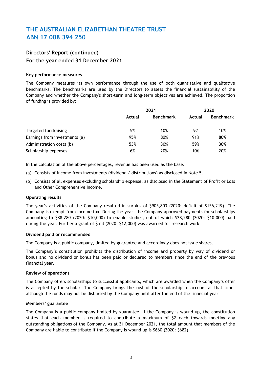### **Directors' Report (continued) For the year ended 31 December 2021**

#### **Key performance measures**

The Company measures its own performance through the use of both quantitative and qualitative benchmarks. The benchmarks are used by the Directors to assess the financial sustainability of the Company and whether the Company's short-term and long-term objectives are achieved. The proportion of funding is provided by:

|                               | 2021   |                  | 2020   |                  |
|-------------------------------|--------|------------------|--------|------------------|
|                               | Actual | <b>Benchmark</b> | Actual | <b>Benchmark</b> |
| Targeted fundraising          | 5%     | 10%              | 9%     | 10%              |
| Earnings from investments (a) | 95%    | 80%              | 91%    | 80%              |
| Administration costs (b)      | 53%    | 30%              | 59%    | 30%              |
| Scholarship expenses          | 6%     | 20%              | 10%    | 20%              |

In the calculation of the above percentages, revenue has been used as the base.

- (a) Consists of income from investments (dividend / distributions) as disclosed in Note 5.
- (b) Consists of all expenses excluding scholarship expense, as disclosed in the Statement of Profit or Loss and Other Comprehensive Income.

#### **Operating results**

The year's activities of the Company resulted in surplus of \$905,803 (2020: deficit of \$156,219). The Company is exempt from income tax. During the year, the Company approved payments for scholarships amounting to \$88,280 (2020: \$10,000) to enable studies, out of which \$28,280 (2020: \$10,000) paid during the year. Further a grant of \$ nil (2020: \$12,000) was awarded for research work.

#### **Dividend paid or recommended**

The Company is a public company, limited by guarantee and accordingly does not issue shares.

The Company's constitution prohibits the distribution of income and property by way of dividend or bonus and no dividend or bonus has been paid or declared to members since the end of the previous financial year.

#### **Review of operations**

The Company offers scholarships to successful applicants, which are awarded when the Company's offer is accepted by the scholar. The Company brings the cost of the scholarship to account at that time, although the funds may not be disbursed by the Company until after the end of the financial year.

#### **Members' guarantee**

The Company is a public company limited by guarantee. If the Company is wound up, the constitution states that each member is required to contribute a maximum of \$2 each towards meeting any outstanding obligations of the Company. As at 31 December 2021, the total amount that members of the Company are liable to contribute if the Company is wound up is \$660 (2020: \$682).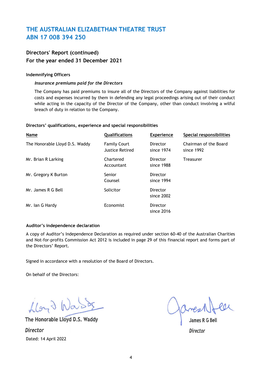### **Directors' Report (continued) For the year ended 31 December 2021**

#### **Indemnifying Officers**

#### *Insurance premiums paid for the Directors*

The Company has paid premiums to insure all of the Directors of the Company against liabilities for costs and expenses incurred by them in defending any legal proceedings arising out of their conduct while acting in the capacity of the Director of the Company, other than conduct involving a wilful breach of duty in relation to the Company.

#### **Directors' qualifications, experience and special responsibilities**

| Name                           | Qualifications                                | <b>Experience</b>             | Special responsibilities            |
|--------------------------------|-----------------------------------------------|-------------------------------|-------------------------------------|
| The Honorable Lloyd D.S. Waddy | <b>Family Court</b><br><b>Justice Retired</b> | <b>Director</b><br>since 1974 | Chairman of the Board<br>since 1992 |
| Mr. Brian R Larking            | Chartered<br>Accountant                       | Director<br>since 1988        | <b>Treasurer</b>                    |
| Mr. Gregory K Burton           | Senior<br>Counsel                             | <b>Director</b><br>since 1994 |                                     |
| Mr. James R G Bell             | Solicitor                                     | <b>Director</b><br>since 2002 |                                     |
| Mr. Ian G Hardy                | Economist                                     | <b>Director</b><br>since 2016 |                                     |

#### **Auditor's independence declaration**

A copy of Auditor's Independence Declaration as required under section 60-40 of the Australian Charities and Not-for-profits Commission Act 2012 is included in page 29 of this financial report and forms part of the Directors' Report.

Signed in accordance with a resolution of the Board of Directors.

On behalf of the Directors:

floyd Wast

The Honorable Lloyd D.S. Waddy James R G Bell *Director Director* Dated: 14 April 2022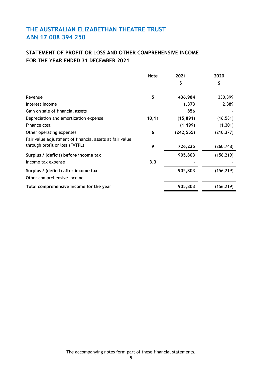### **STATEMENT OF PROFIT OR LOSS AND OTHER COMPREHENSIVE INCOME FOR THE YEAR ENDED 31 DECEMBER 2021**

|                                                         | <b>Note</b> | 2021       | 2020       |
|---------------------------------------------------------|-------------|------------|------------|
|                                                         |             | \$         | \$         |
| Revenue                                                 | 5           | 436,984    | 330,399    |
| Interest income                                         |             | 1,373      | 2,389      |
| Gain on sale of financial assets                        |             | 856        |            |
| Depreciation and amortization expense                   | 10,11       | (15, 891)  | (16, 581)  |
| Finance cost                                            |             | (1, 199)   | (1, 301)   |
| Other operating expenses                                | 6           | (242, 555) | (210, 377) |
| Fair value adjustment of financial assets at fair value |             |            |            |
| through profit or loss (FVTPL)                          | 9           | 726,235    | (260, 748) |
| Surplus / (deficit) before income tax                   |             | 905,803    | (156, 219) |
| Income tax expense                                      | 3.3         |            |            |
| Surplus / (deficit) after income tax                    |             | 905,803    | (156, 219) |
| Other comprehensive income                              |             |            |            |
| Total comprehensive income for the year                 |             | 905,803    | (156, 219) |

The accompanying notes form part of these financial statements.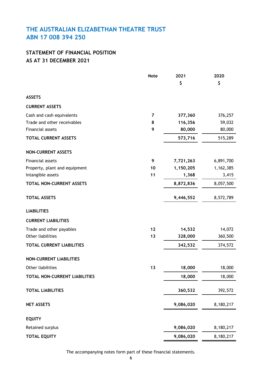# **AS AT 31 DECEMBER 2021 STATEMENT OF FINANCIAL POSITION**

|                                  | <b>Note</b> | 2021      | 2020      |
|----------------------------------|-------------|-----------|-----------|
|                                  |             | \$        | \$        |
| <b>ASSETS</b>                    |             |           |           |
| <b>CURRENT ASSETS</b>            |             |           |           |
| Cash and cash equivalents        | 7           | 377,360   | 376,257   |
| Trade and other receivables      | 8           | 116,356   | 59,032    |
| Financial assets                 | 9           | 80,000    | 80,000    |
| <b>TOTAL CURRENT ASSETS</b>      |             | 573,716   | 515,289   |
| <b>NON-CURRENT ASSETS</b>        |             |           |           |
| Financial assets                 | 9           | 7,721,263 | 6,891,700 |
| Property, plant and equipment    | 10          | 1,150,205 | 1,162,385 |
| Intangible assets                | 11          | 1,368     | 3,415     |
| TOTAL NON-CURRENT ASSETS         |             | 8,872,836 | 8,057,500 |
| <b>TOTAL ASSETS</b>              |             | 9,446,552 | 8,572,789 |
| <b>LIABILITIES</b>               |             |           |           |
| <b>CURRENT LIABILITIES</b>       |             |           |           |
| Trade and other payables         | 12          | 14,532    | 14,072    |
| Other liabilities                | 13          | 328,000   | 360,500   |
| <b>TOTAL CURRENT LIABILITIES</b> |             | 342,532   | 374,572   |
| <b>NON-CURRENT LIABILITIES</b>   |             |           |           |
| Other liabilities                | 13          | 18,000    | 18,000    |
| TOTAL NON-CURRENT LIABILITIES    |             | 18,000    | 18,000    |
| <b>TOTAL LIABILITIES</b>         |             | 360,532   | 392,572   |
| <b>NET ASSETS</b>                |             | 9,086,020 | 8,180,217 |
| <b>EQUITY</b>                    |             |           |           |
| Retained surplus                 |             | 9,086,020 | 8,180,217 |
| <b>TOTAL EQUITY</b>              |             | 9,086,020 | 8,180,217 |

The accompanying notes form part of these financial statements.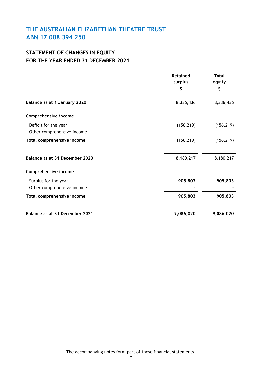# **STATEMENT OF CHANGES IN EQUITY FOR THE YEAR ENDED 31 DECEMBER 2021**

|                                                    | <b>Retained</b><br>surplus | <b>Total</b><br>equity |  |
|----------------------------------------------------|----------------------------|------------------------|--|
|                                                    | Ş                          | \$                     |  |
| Balance as at 1 January 2020                       | 8,336,436                  | 8,336,436              |  |
| Comprehensive income                               |                            |                        |  |
| Deficit for the year<br>Other comprehensive income | (156, 219)                 | (156, 219)             |  |
| Total comprehensive income                         | (156, 219)                 | (156, 219)             |  |
| Balance as at 31 December 2020                     | 8,180,217                  | 8,180,217              |  |
| Comprehensive income                               |                            |                        |  |
| Surplus for the year<br>Other comprehensive income | 905,803                    | 905,803                |  |
| Total comprehensive income                         | 905,803                    | 905,803                |  |
| Balance as at 31 December 2021                     | 9,086,020                  | 9,086,020              |  |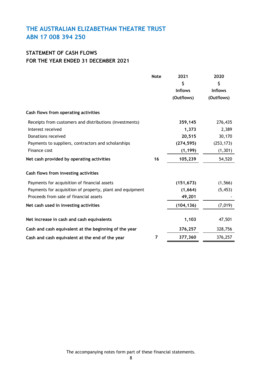### **STATEMENT OF CASH FLOWS FOR THE YEAR ENDED 31 DECEMBER 2021**

|                                                                                                                                                                                                                        | <b>Note</b> | 2021<br>\$<br><b>Inflows</b><br>(Outflows)                      | 2020<br>\$<br><b>Inflows</b><br>(Outflows)                     |
|------------------------------------------------------------------------------------------------------------------------------------------------------------------------------------------------------------------------|-------------|-----------------------------------------------------------------|----------------------------------------------------------------|
| Cash flows from operating activities                                                                                                                                                                                   |             |                                                                 |                                                                |
| Receipts from customers and distributions (investments)<br>Interest received<br>Donations received<br>Payments to suppliers, contractors and scholarships<br>Finance cost<br>Net cash provided by operating activities | 16          | 359,145<br>1,373<br>20,515<br>(274, 595)<br>(1, 199)<br>105,239 | 276,435<br>2,389<br>30,170<br>(253, 173)<br>(1, 301)<br>54,520 |
| Cash flows from investing activities                                                                                                                                                                                   |             |                                                                 |                                                                |
| Payments for acquisition of financial assets<br>Payments for acquisition of property, plant and equipment<br>Proceeds from sale of financial assets<br>Net cash used in investing activities                           |             | (151, 673)<br>(1,664)<br>49,201<br>(104, 136)                   | (1, 566)<br>(5, 453)<br>(7,019)                                |
| Net increase in cash and cash equivalents                                                                                                                                                                              |             | 1,103                                                           | 47,501                                                         |
| Cash and cash equivalent at the beginning of the year<br>Cash and cash equivalent at the end of the year                                                                                                               | 7           | 376,257<br>377,360                                              | 328,756<br>376,257                                             |

The accompanying notes form part of these financial statements.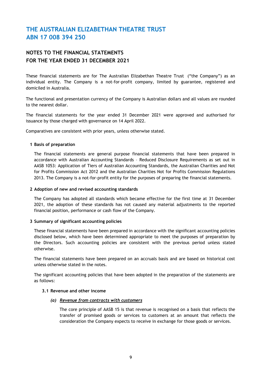### **NOTES TO THE FINANCIAL STATEMENTS FOR THE YEAR ENDED 31 DECEMBER 2021**

These financial statements are for The Australian Elizabethan Theatre Trust ("the Company") as an individual entity. The Company is a not-for-profit company, limited by guarantee, registered and domiciled in Australia.

The functional and presentation currency of the Company is Australian dollars and all values are rounded to the nearest dollar.

The financial statements for the year ended 31 December 2021 were approved and authorised for issuance by those charged with governance on 14 April 2022.

Comparatives are consistent with prior years, unless otherwise stated.

#### **1 Basis of preparation**

The financial statements are general purpose financial statements that have been prepared in accordance with Australian Accounting Standards – Reduced Disclosure Requirements as set out in AASB 1053: Application of Tiers of Australian Accounting Standards, the Australian Charities and Not for Profits Commission Act 2012 and the Australian Charities Not for Profits Commission Regulations 2013. The Company is a not-for-profit entity for the purposes of preparing the financial statements.

#### **2 Adoption of new and revised accounting standards**

The Company has adopted all standards which became effective for the first time at 31 December 2021, the adoption of these standards has not caused any material adjustments to the reported financial position, performance or cash flow of the Company.

#### **3 Summary of significant accounting policies**

These financial statements have been prepared in accordance with the significant accounting policies disclosed below, which have been determined appropriate to meet the purposes of preparation by the Directors. Such accounting policies are consistent with the previous period unless stated otherwise.

The financial statements have been prepared on an accruals basis and are based on historical cost unless otherwise stated in the notes.

The significant accounting policies that have been adopted in the preparation of the statements are as follows:

#### **3.1 Revenue and other income**

#### *(a) Revenue from contracts with customers*

The core principle of AASB 15 is that revenue is recognised on a basis that reflects the transfer of promised goods or services to customers at an amount that reflects the consideration the Company expects to receive in exchange for those goods or services.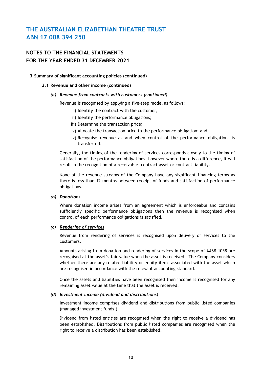### **NOTES TO THE FINANCIAL STATEMENTS FOR THE YEAR ENDED 31 DECEMBER 2021**

#### **3 Summary of significant accounting policies (continued)**

#### **3.1 Revenue and other income (continued)**

#### *(a) Revenue from contracts with customers (continued)*

Revenue is recognised by applying a five-step model as follows:

- i) Identify the contract with the customer;
- ii) Identify the performance obligations;
- iii) Determine the transaction price;
- iv) Allocate the transaction price to the performance obligation; and
- v) Recognise revenue as and when control of the performance obligations is transferred.

Generally, the timing of the rendering of services corresponds closely to the timing of satisfaction of the performance obligations, however where there is a difference, it will result in the recognition of a receivable, contract asset or contract liability.

None of the revenue streams of the Company have any significant financing terms as there is less than 12 months between receipt of funds and satisfaction of performance obligations.

#### *(b) Donations*

Where donation income arises from an agreement which is enforceable and contains sufficiently specific performance obligations then the revenue is recognised when control of each performance obligations is satisfied.

#### *(c) Rendering of services*

Revenue from rendering of services is recognised upon delivery of services to the customers.

Amounts arising from donation and rendering of services in the scope of AASB 1058 are recognised at the asset's fair value when the asset is received. The Company considers whether there are any related liability or equity items associated with the asset which are recognised in accordance with the relevant accounting standard.

Once the assets and liabilities have been recognised then income is recognised for any remaining asset value at the time that the asset is received.

#### *(d) Investment income (dividend and distributions)*

Investment income comprises dividend and distributions from public listed companies (managed investment funds.)

Dividend from listed entities are recognised when the right to receive a dividend has been established. Distributions from public listed companies are recognised when the right to receive a distribution has been established.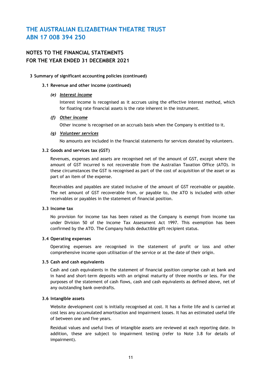### **NOTES TO THE FINANCIAL STATEMENTS FOR THE YEAR ENDED 31 DECEMBER 2021**

#### **3 Summary of significant accounting policies (continued)**

#### **3.1 Revenue and other income (continued)**

#### *(e) Interest income*

Interest income is recognised as it accrues using the effective interest method, which for floating rate financial assets is the rate inherent in the instrument.

#### *(f) Other income*

Other income is recognised on an accruals basis when the Company is entitled to it.

#### *(g) Volunteer services*

No amounts are included in the financial statements for services donated by volunteers.

#### **3.2 Goods and services tax (GST)**

Revenues, expenses and assets are recognised net of the amount of GST, except where the amount of GST incurred is not recoverable from the Australian Taxation Office (ATO). In these circumstances the GST is recognised as part of the cost of acquisition of the asset or as part of an item of the expense.

Receivables and payables are stated inclusive of the amount of GST receivable or payable. The net amount of GST recoverable from, or payable to, the ATO is included with other receivables or payables in the statement of financial position.

#### **3.3 Income tax**

No provision for income tax has been raised as the Company is exempt from income tax under Division 50 of the Income Tax Assessment Act 1997. This exemption has been confirmed by the ATO. The Company holds deductible gift recipient status.

#### **3.4 Operating expenses**

Operating expenses are recognised in the statement of profit or loss and other comprehensive income upon utilisation of the service or at the date of their origin.

#### **3.5 Cash and cash equivalents**

Cash and cash equivalents in the statement of financial position comprise cash at bank and in hand and short-term deposits with an original maturity of three months or less. For the purposes of the statement of cash flows, cash and cash equivalents as defined above, net of any outstanding bank overdrafts.

#### **3.6 Intangible assets**

Website development cost is initially recognised at cost. It has a finite life and is carried at cost less any accumulated amortisation and impairment losses. It has an estimated useful life of between one and five years.

Residual values and useful lives of intangible assets are reviewed at each reporting date. In addition, these are subject to impairment testing (refer to Note 3.8 for details of impairment).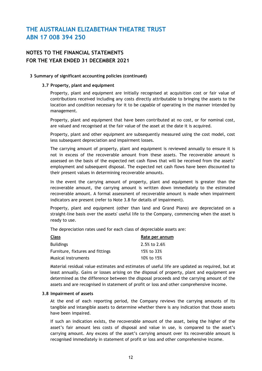### **NOTES TO THE FINANCIAL STATEMENTS FOR THE YEAR ENDED 31 DECEMBER 2021**

#### **3 Summary of significant accounting policies (continued)**

#### **3.7 Property, plant and equipment**

Property, plant and equipment are initially recognised at acquisition cost or fair value of contributions received including any costs directly attributable to bringing the assets to the location and condition necessary for it to be capable of operating in the manner intended by management.

Property, plant and equipment that have been contributed at no cost, or for nominal cost, are valued and recognised at the fair value of the asset at the date it is acquired.

Property, plant and other equipment are subsequently measured using the cost model, cost less subsequent depreciation and impairment losses.

The carrying amount of property, plant and equipment is reviewed annually to ensure it is not in excess of the recoverable amount from these assets. The recoverable amount is assessed on the basis of the expected net cash flows that will be received from the assets' employment and subsequent disposal. The expected net cash flows have been discounted to their present values in determining recoverable amounts.

In the event the carrying amount of property, plant and equipment is greater than the recoverable amount, the carrying amount is written down immediately to the estimated recoverable amount. A formal assessment of recoverable amount is made when impairment indicators are present (refer to Note 3.8 for details of impairment).

Property, plant and equipment (other than land and Grand Piano) are depreciated on a straight-line basis over the assets' useful life to the Company, commencing when the asset is ready to use.

The depreciation rates used for each class of depreciable assets are:

| <b>Class</b>                     | Rate per annum |
|----------------------------------|----------------|
| <b>Buildings</b>                 | 2.5% to 2.6%   |
| Furniture, fixtures and fittings | 15% to 33%     |
| Musical instruments              | 10% to 15%     |

Material residual value estimates and estimates of useful life are updated as required, but at least annually. Gains or losses arising on the disposal of property, plant and equipment are determined as the difference between the disposal proceeds and the carrying amount of the assets and are recognised in statement of profit or loss and other comprehensive income.

#### **3.8 Impairment of assets**

At the end of each reporting period, the Company reviews the carrying amounts of its tangible and intangible assets to determine whether there is any indication that those assets have been impaired.

If such an indication exists, the recoverable amount of the asset, being the higher of the asset's fair amount less costs of disposal and value in use, is compared to the asset's carrying amount. Any excess of the asset's carrying amount over its recoverable amount is recognised immediately in statement of profit or loss and other comprehensive income.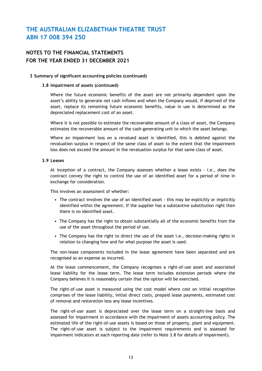### **NOTES TO THE FINANCIAL STATEMENTS FOR THE YEAR ENDED 31 DECEMBER 2021**

#### **3 Summary of significant accounting policies (continued)**

#### **3.8 Impairment of assets (continued)**

Where the future economic benefits of the asset are not primarily dependent upon the asset's ability to generate net cash inflows and when the Company would, if deprived of the asset, replace its remaining future economic benefits, value in use is determined as the depreciated replacement cost of an asset.

Where it is not possible to estimate the recoverable amount of a class of asset, the Company estimates the recoverable amount of the cash-generating unit to which the asset belongs.

Where an impairment loss on a revalued asset is identified, this is debited against the revaluation surplus in respect of the same class of asset to the extent that the impairment loss does not exceed the amount in the revaluation surplus for that same class of asset.

#### **3.9 Leases**

At inception of a contract, the Company assesses whether a lease exists - i.e., does the contract convey the right to control the use of an identified asset for a period of time in exchange for consideration.

This involves an assessment of whether:

- The contract involves the use of an identified asset this may be explicitly or implicitly identified within the agreement. If the supplier has a substantive substitution right then there is no identified asset.
- The Company has the right to obtain substantially all of the economic benefits from the use of the asset throughout the period of use.
- The Company has the right to direct the use of the asset i.e., decision-making rights in relation to changing how and for what purpose the asset is used.

The non-lease components included in the lease agreement have been separated and are recognised as an expense as incurred.

At the lease commencement, the Company recognises a right-of-use asset and associated lease liability for the lease term. The lease term includes extension periods where the Company believes it is reasonably certain that the option will be exercised.

The right-of-use asset is measured using the cost model where cost on initial recognition comprises of the lease liability, initial direct costs, prepaid lease payments, estimated cost of removal and restoration less any lease incentives.

The right-of-use asset is depreciated over the lease term on a straight-line basis and assessed for impairment in accordance with the impairment of assets accounting policy. The estimated life of the right-of-use assets is based on those of property, plant and equipment. The right-of-use asset is subject to the impairment requirements and is assessed for impairment indicators at each reporting date (refer to Note 3.8 for details of impairment).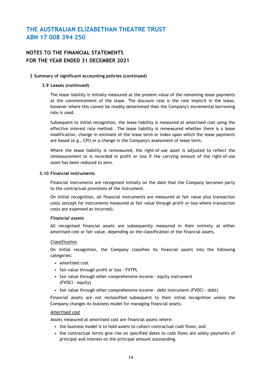### **NOTES TO THE FINANCIAL STATEMENTS FOR THE YEAR ENDED 31 DECEMBER 2021**

#### **3 Summary of significant accounting policies (continued)**

#### **3.9 Leases (continued)**

The lease liability is initially measured at the present value of the remaining lease payments at the commencement of the lease. The discount rate is the rate implicit in the lease, however where this cannot be readily determined then the Company's incremental borrowing rate is used.

Subsequent to initial recognition, the lease liability is measured at amortised cost using the effective interest rate method. The lease liability is remeasured whether there is a lease modification, change in estimate of the lease term or index upon which the lease payments are based (e.g., CPI) or a change in the Company's assessment of lease term.

Where the lease liability is remeasured, the right-of-use asset is adjusted to reflect the remeasurement or is recorded in profit or loss if the carrying amount of the right-of-use asset has been reduced to zero.

#### **3.10 Financial instruments**

Financial instruments are recognised initially on the date that the Company becomes party to the contractual provisions of the instrument.

On initial recognition, all financial instruments are measured at fair value plus transaction costs (except for instruments measured at fair value through profit or loss where transaction costs are expensed as incurred).

#### *Financial assets*

All recognised financial assets are subsequently measured in their entirety at either amortised cost or fair value, depending on the classification of the financial assets.

#### *Classification*

On initial recognition, the Company classifies its financial assets into the following categories:

- amortised cost
- fair value through profit or loss FVTPL
- fair value through other comprehensive income ‑ equity instrument (FVOCI ‑ equity)
- fair value through other comprehensive income debt instrument (FVOCI debt)

Financial assets are not reclassified subsequent to their initial recognition unless the Company changes its business model for managing financial assets.

#### *Amortised cost*

Assets measured at amortised cost are financial assets where:

- the business model is to hold assets to collect contractual cash flows; and
- the contractual terms give rise on specified dates to cash flows are solely payments of principal and interest on the principal amount outstanding.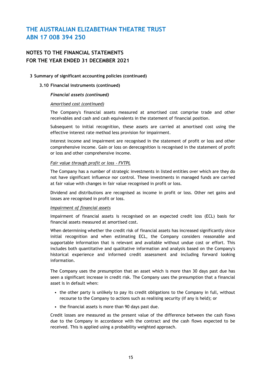### **NOTES TO THE FINANCIAL STATEMENTS FOR THE YEAR ENDED 31 DECEMBER 2021**

#### **3 Summary of significant accounting policies (continued)**

#### **3.10 Financial instruments (continued)**

#### *Financial assets (continued)*

#### *Amortised cost (continued)*

The Company's financial assets measured at amortised cost comprise trade and other receivables and cash and cash equivalents in the statement of financial position.

Subsequent to initial recognition, these assets are carried at amortised cost using the effective interest rate method less provision for impairment.

Interest income and impairment are recognised in the statement of profit or loss and other comprehensive income. Gain or loss on derecognition is recognised in the statement of profit or loss and other comprehensive income.

#### *Fair value through profit or loss* ‑ *FVTPL*

The Company has a number of strategic investments in listed entities over which are they do not have significant influence nor control. These investments in managed funds are carried at fair value with changes in fair value recognised in profit or loss.

Dividend and distributions are recognised as income in profit or loss. Other net gains and losses are recognised in profit or loss.

#### *Impairment of financial assets*

Impairment of financial assets is recognised on an expected credit loss (ECL) basis for financial assets measured at amortised cost.

When determining whether the credit risk of financial assets has increased significantly since initial recognition and when estimating ECL, the Company considers reasonable and supportable information that is relevant and available without undue cost or effort. This includes both quantitative and qualitative information and analysis based on the Company's historical experience and informed credit assessment and including forward looking information.

The Company uses the presumption that an asset which is more than 30 days past due has seen a significant increase in credit risk. The Company uses the presumption that a financial asset is in default when:

- the other party is unlikely to pay its credit obligations to the Company in full, without recourse to the Company to actions such as realising security (if any is held); or
- the financial assets is more than 90 days past due.

Credit losses are measured as the present value of the difference between the cash flows due to the Company in accordance with the contract and the cash flows expected to be received. This is applied using a probability weighted approach.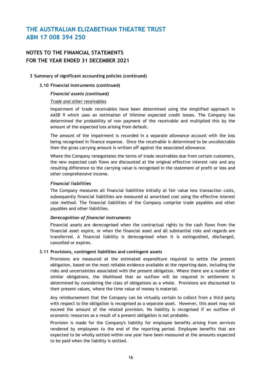### **NOTES TO THE FINANCIAL STATEMENTS FOR THE YEAR ENDED 31 DECEMBER 2021**

#### **3 Summary of significant accounting policies (continued)**

#### **3.10 Financial instruments (continued)**

#### *Financial assets (continued)*

#### *Trade and other receivables*

Impairment of trade receivables have been determined using the simplified approach in AASB 9 which uses an estimation of lifetime expected credit losses. The Company has determined the probability of non payment of the receivable and multiplied this by the amount of the expected loss arising from default.

The amount of the impairment is recorded in a separate allowance account with the loss being recognised in finance expense. Once the receivable is determined to be uncollectable then the gross carrying amount is written off against the associated allowance.

Where the Company renegotiates the terms of trade receivables due from certain customers, the new expected cash flows are discounted at the original effective interest rate and any resulting difference to the carrying value is recognised in the statement of profit or loss and other comprehensive income.

#### *Financial liabilities*

The Company measures all financial liabilities initially at fair value less transaction costs, subsequently financial liabilities are measured at amortised cost using the effective interest rate method. The financial liabilities of the Company comprise trade payables and other payables and other liabilities.

#### *Derecognition of financial instruments*

Financial assets are derecognised when the contractual rights to the cash flows from the financial asset expire, or when the financial asset and all substantial risks and regards are transferred. A financial liability is derecognised when it is extinguished, discharged, cancelled or expires.

#### **3.11 Provisions, contingent liabilities and contingent assets**

Provisions are measured at the estimated expenditure required to settle the present obligation, based on the most reliable evidence available at the reporting date, including the risks and uncertainties associated with the present obligation. Where there are a number of similar obligations, the likelihood that an outflow will be required in settlement is determined by considering the class of obligations as a whole. Provisions are discounted to their present values, where the time value of money is material.

Any reimbursement that the Company can be virtually certain to collect from a third party with respect to the obligation is recognised as a separate asset. However, this asset may not exceed the amount of the related provision. No liability is recognised if an outflow of economic resources as a result of a present obligation is not probable.

Provision is made for the Company's liability for employee benefits arising from services rendered by employees to the end of the reporting period. Employee benefits that are expected to be wholly settled within one year have been measured at the amounts expected to be paid when the liability is settled.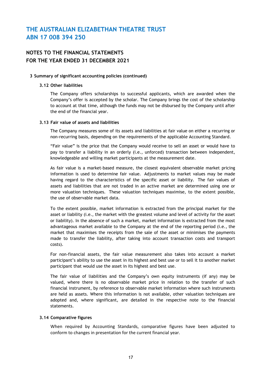### **NOTES TO THE FINANCIAL STATEMENTS FOR THE YEAR ENDED 31 DECEMBER 2021**

#### **3 Summary of significant accounting policies (continued)**

#### **3.12 Other liabilities**

The Company offers scholarships to successful applicants, which are awarded when the Company's offer is accepted by the scholar. The Company brings the cost of the scholarship to account at that time, although the funds may not be disbursed by the Company until after the end of the financial year.

#### **3.13 Fair value of assets and liabilities**

The Company measures some of its assets and liabilities at fair value on either a recurring or non-recurring basis, depending on the requirements of the applicable Accounting Standard.

"Fair value" is the price that the Company would receive to sell an asset or would have to pay to transfer a liability in an orderly (i.e., unforced) transaction between independent, knowledgeable and willing market participants at the measurement date.

As fair value is a market-based measure, the closest equivalent observable market pricing information is used to determine fair value. Adjustments to market values may be made having regard to the characteristics of the specific asset or liability. The fair values of assets and liabilities that are not traded in an active market are determined using one or more valuation techniques. These valuation techniques maximise, to the extent possible, the use of observable market data.

To the extent possible, market information is extracted from the principal market for the asset or liability (i.e., the market with the greatest volume and level of activity for the asset or liability). In the absence of such a market, market information is extracted from the most advantageous market available to the Company at the end of the reporting period (i.e., the market that maximises the receipts from the sale of the asset or minimises the payments made to transfer the liability, after taking into account transaction costs and transport costs).

For non-financial assets, the fair value measurement also takes into account a market participant's ability to use the asset in its highest and best use or to sell it to another market participant that would use the asset in its highest and best use.

The fair value of liabilities and the Company's own equity instruments (if any) may be valued, where there is no observable market price in relation to the transfer of such financial instrument, by reference to observable market information where such instruments are held as assets. Where this information is not available, other valuation techniques are adopted and, where significant, are detailed in the respective note to the financial statements.

#### **3.14 Comparative figures**

When required by Accounting Standards, comparative figures have been adjusted to conform to changes in presentation for the current financial year.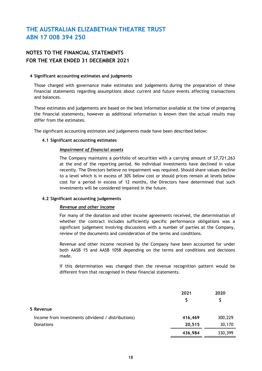### **NOTES TO THE FINANCIAL STATEMENTS FOR THE YEAR ENDED 31 DECEMBER 2021**

#### **4 Significant accounting estimates and judgments**

Those charged with governance make estimates and judgements during the preparation of these financial statements regarding assumptions about current and future events affecting transactions and balances.

These estimates and judgements are based on the best information available at the time of preparing the financial statements, however as additional information is known then the actual results may differ from the estimates.

The significant accounting estimates and judgements made have been described below:

#### **4.1 Significant accounting estimates**

#### *Impairment of financial assets*

The Company maintains a portfolio of securities with a carrying amount of \$7,721,263 at the end of the reporting period. No individual investments have declined in value recently. The Directors believe no impairment was required. Should share values decline to a level which is in excess of 30% below cost or should prices remain at levels below cost for a period in excess of 12 months, the Directors have determined that such investments will be considered impaired in the future.

#### **4.2 Significant accounting judgements**

#### *Revenue and other income*

For many of the donation and other income agreements received, the determination of whether the contract includes sufficiently specific performance obligations was a significant judgement involving discussions with a number of parties at the Company, review of the documents and consideration of the terms and conditions.

Revenue and other income received by the Company have been accounted for under both AASB 15 and AASB 1058 depending on the terms and conditions and decisions made.

If this determination was changed then the revenue recognition pattern would be different from that recognised in these financial statements.

|                                                    | 2021<br>S | 2020    |
|----------------------------------------------------|-----------|---------|
| 5 Revenue                                          |           |         |
| Income from investments (dividend / distributions) | 416,469   | 300,229 |
| <b>Donations</b>                                   | 20,515    | 30,170  |
|                                                    | 436,984   | 330,399 |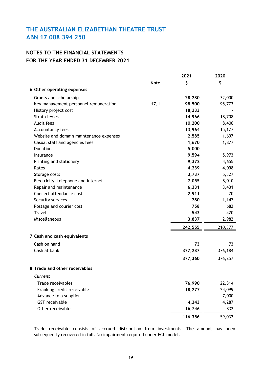### **NOTES TO THE FINANCIAL STATEMENTS FOR THE YEAR ENDED 31 DECEMBER 2021**

|                                               | 2021    | 2020    |
|-----------------------------------------------|---------|---------|
| <b>Note</b>                                   | \$      | \$      |
| 6 Other operating expenses                    |         |         |
| Grants and scholarships                       | 28,280  | 32,000  |
| 17.1<br>Key management personnel remuneration | 98,500  | 95,773  |
| History project cost                          | 18,233  |         |
| Strata levies                                 | 14,966  | 18,708  |
| Audit fees                                    | 10,200  | 8,400   |
| Accountancy fees                              | 13,964  | 15,127  |
| Website and domain maintenance expenses       | 2,585   | 1,697   |
| Casual staff and agencies fees                | 1,670   | 1,877   |
| <b>Donations</b>                              | 5,000   |         |
| Insurance                                     | 9,594   | 5,973   |
| Printing and stationery                       | 9,372   | 4,655   |
| Rates                                         | 4,239   | 4,098   |
| Storage costs                                 | 3,737   | 5,327   |
| Electricity, telephone and internet           | 7,055   | 8,010   |
| Repair and maintenance                        | 6,331   | 3,431   |
| Concert attendance cost                       | 2,911   | 70      |
| Security services                             | 780     | 1,147   |
| Postage and courier cost                      | 758     | 682     |
| <b>Travel</b>                                 | 543     | 420     |
| Miscellaneous                                 | 3,837   | 2,982   |
|                                               | 242,555 | 210,377 |
| 7 Cash and cash equivalents                   |         |         |
| Cash on hand                                  | 73      | 73      |
| Cash at bank                                  | 377,287 | 376,184 |
|                                               | 377,360 | 376,257 |
| 8 Trade and other receivables                 |         |         |
| Current                                       |         |         |
| Trade receivables                             | 76,990  | 22,814  |
| Franking credit receivable                    | 18,277  | 24,099  |
| Advance to a supplier                         |         | 7,000   |
| <b>GST</b> receivable                         | 4,343   | 4,287   |
| Other receivable                              | 16,746  | 832     |
|                                               | 116,356 | 59,032  |

Trade receivable consists of accrued distribution from investments. The amount has been subsequently recovered in full. No impairment required under ECL model.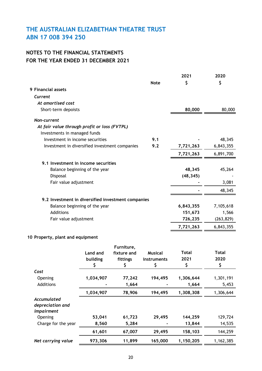## **NOTES TO THE FINANCIAL STATEMENTS FOR THE YEAR ENDED 31 DECEMBER 2021**

|                                                    |             | 2021      | 2020       |
|----------------------------------------------------|-------------|-----------|------------|
|                                                    | <b>Note</b> | \$        | \$         |
| 9 Financial assets                                 |             |           |            |
| Current                                            |             |           |            |
| At amortised cost                                  |             |           |            |
| Short-term depoists                                |             | 80,000    | 80,000     |
| Non-current                                        |             |           |            |
| At fair value through profit or loss (FVTPL)       |             |           |            |
| Investments in managed funds                       |             |           |            |
| Investment in income securities                    | 9.1         |           | 48,345     |
| Investment in diversified investment companies     | 9.2         | 7,721,263 | 6,843,355  |
|                                                    |             | 7,721,263 | 6,891,700  |
| 9.1 Investment in income securities                |             |           |            |
| Balance beginning of the year                      |             | 48,345    | 45,264     |
| Disposal                                           |             | (48, 345) |            |
| Fair value adjustment                              |             |           | 3,081      |
|                                                    |             |           | 48,345     |
| 9.2 Investment in diversified investment companies |             |           |            |
| Balance beginning of the year                      |             | 6,843,355 | 7,105,618  |
| Additions                                          |             | 151,673   | 1,566      |
| Fair value adjustment                              |             | 726,235   | (263, 829) |
|                                                    |             | 7,721,263 | 6,843,355  |

### **10 Property, plant and equipment**

|                     |           | Furniture,  |                |           |           |
|---------------------|-----------|-------------|----------------|-----------|-----------|
|                     | Land and  | fixture and | <b>Musical</b> | Total     | Total     |
|                     | building  | fittings    | instruments    | 2021      | 2020      |
|                     |           | Ş           |                | \$        |           |
| Cost                |           |             |                |           |           |
| Opening             | 1,034,907 | 77,242      | 194,495        | 1,306,644 | 1,301,191 |
| Additions           |           | 1,664       |                | 1,664     | 5,453     |
|                     | 1,034,907 | 78,906      | 194,495        | 1,308,308 | 1,306,644 |
| Accumulated         |           |             |                |           |           |
| depreciation and    |           |             |                |           |           |
| <i>impairment</i>   |           |             |                |           |           |
| Opening             | 53,041    | 61,723      | 29,495         | 144,259   | 129,724   |
| Charge for the year | 8,560     | 5,284       |                | 13,844    | 14,535    |
|                     | 61,601    | 67,007      | 29,495         | 158,103   | 144,259   |
| Net carrying value  | 973,306   | 11,899      | 165,000        | 1,150,205 | 1,162,385 |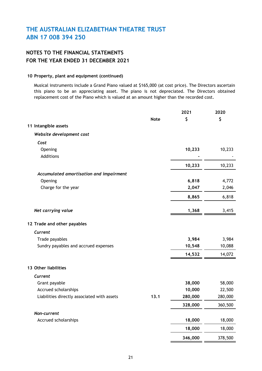### **NOTES TO THE FINANCIAL STATEMENTS FOR THE YEAR ENDED 31 DECEMBER 2021**

#### **10 Property, plant and equipment (continued)**

Musical instruments include a Grand Piano valued at \$165,000 (at cost price). The Directors ascertain this piano to be an appreciating asset. The piano is not depreciated. The Directors obtained replacement cost of the Piano which is valued at an amount higher than the recorded cost.

|                                             |             | 2021    | 2020    |
|---------------------------------------------|-------------|---------|---------|
|                                             | <b>Note</b> | \$      | \$      |
| 11 Intangible assets                        |             |         |         |
| Website development cost                    |             |         |         |
| Cost                                        |             |         |         |
| Opening                                     |             | 10,233  | 10,233  |
| Additions                                   |             |         |         |
|                                             |             | 10,233  | 10,233  |
| Accumulated amortisation and impairment     |             |         |         |
| Opening                                     |             | 6,818   | 4,772   |
| Charge for the year                         |             | 2,047   | 2,046   |
|                                             |             | 8,865   | 6,818   |
| Net carrying value                          |             | 1,368   | 3,415   |
| 12 Trade and other payables                 |             |         |         |
| Current                                     |             |         |         |
| Trade payables                              |             | 3,984   | 3,984   |
| Sundry payables and accrued expenses        |             | 10,548  | 10,088  |
|                                             |             | 14,532  | 14,072  |
| 13 Other liabilities                        |             |         |         |
| Current                                     |             |         |         |
| Grant payable                               |             | 38,000  | 58,000  |
| Accrued scholarships                        |             | 10,000  | 22,500  |
| Liabilities directly associated with assets | 13.1        | 280,000 | 280,000 |
|                                             |             | 328,000 | 360,500 |
| Non-current                                 |             |         |         |
| Accrued scholarships                        |             | 18,000  | 18,000  |
|                                             |             | 18,000  | 18,000  |
|                                             |             | 346,000 | 378,500 |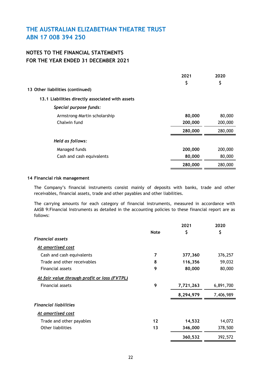### **NOTES TO THE FINANCIAL STATEMENTS FOR THE YEAR ENDED 31 DECEMBER 2021**

|                                                  | 2021    | 2020    |
|--------------------------------------------------|---------|---------|
|                                                  | \$      | \$      |
| 13 Other liabilities (continued)                 |         |         |
| 13.1 Liabilities directly associated with assets |         |         |
| Special purpose funds:                           |         |         |
| Armstrong-Martin scholarship                     | 80,000  | 80,000  |
| Chalwin fund                                     | 200,000 | 200,000 |
|                                                  | 280,000 | 280,000 |
| Held as follows:                                 |         |         |
| Managed funds                                    | 200,000 | 200,000 |
| Cash and cash equivalents                        | 80,000  | 80,000  |
|                                                  | 280,000 | 280,000 |

#### **14 Financial risk management**

The Company's financial instruments consist mainly of deposits with banks, trade and other receivables, financial assets, trade and other payables and other liabilities.

The carrying amounts for each category of financial instruments, measured in accordance with AASB 9:Financial Instruments as detailed in the accounting policies to these financial report are as follows:

|                                              |             | 2021      | 2020      |
|----------------------------------------------|-------------|-----------|-----------|
|                                              | <b>Note</b> | \$        | \$        |
| <b>Financial assets</b>                      |             |           |           |
| At amortised cost                            |             |           |           |
| Cash and cash equivalents                    | 7           | 377,360   | 376,257   |
| Trade and other receivables                  | 8           | 116,356   | 59,032    |
| Financial assets                             | 9           | 80,000    | 80,000    |
| At fair value through profit or loss (FVTPL) |             |           |           |
| Financial assets                             | 9           | 7,721,263 | 6,891,700 |
|                                              |             | 8,294,979 | 7,406,989 |
| <b>Financial liabilities</b>                 |             |           |           |
| At amortised cost                            |             |           |           |
| Trade and other payables                     | 12          | 14,532    | 14,072    |
| Other liabilities                            | 13          | 346,000   | 378,500   |
|                                              |             | 360,532   | 392,572   |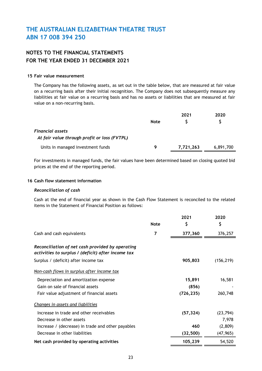### **NOTES TO THE FINANCIAL STATEMENTS FOR THE YEAR ENDED 31 DECEMBER 2021**

#### **15 Fair value measurement**

The Company has the following assets, as set out in the table below, that are measured at fair value on a recurring basis after their initial recognition. The Company does not subsequently measure any liabilities at fair value on a recurring basis and has no assets or liabilities that are measured at fair value on a non-recurring basis.

|                                                                  | <b>Note</b> | 2021      | 2020      |
|------------------------------------------------------------------|-------------|-----------|-----------|
|                                                                  |             |           |           |
| Financial assets<br>At fair value through profit or loss (FVTPL) |             |           |           |
| Units in managed investment funds                                | Q           | 7,721,263 | 6,891,700 |

For investments in managed funds, the fair values have been determined based on closing quoted bid prices at the end of the reporting period.

#### **16 Cash flow statement information**

#### *Reconciliation of cash*

Cash at the end of financial year as shown in the Cash Flow Statement is reconciled to the related items in the Statement of Financial Position as follows:

|                                                                                                        |             | 2021       | 2020       |
|--------------------------------------------------------------------------------------------------------|-------------|------------|------------|
|                                                                                                        | <b>Note</b> | \$         | \$         |
| Cash and cash equivalents                                                                              | 7           | 377,360    | 376,257    |
| Reconciliation of net cash provided by operating<br>activities to surplus / (deficit) after income tax |             |            |            |
| Surplus / (deficit) after income tax                                                                   |             | 905,803    | (156, 219) |
| Non-cash flows in surplus after income tax                                                             |             |            |            |
| Depreciation and amortization expense                                                                  |             | 15,891     | 16,581     |
| Gain on sale of financial assets                                                                       |             | (856)      |            |
| Fair value adjustment of financial assets                                                              |             | (726, 235) | 260,748    |
| Changes in assets and liabilities                                                                      |             |            |            |
| Increase in trade and other receivables                                                                |             | (57, 324)  | (23, 794)  |
| Decrease in other assets                                                                               |             |            | 7,978      |
| Increase / (decrease) in trade and other payables                                                      |             | 460        | (2,809)    |
| Decrease in other liabilities                                                                          |             | (32, 500)  | (47, 965)  |
| Net cash provided by operating activities                                                              |             | 105,239    | 54,520     |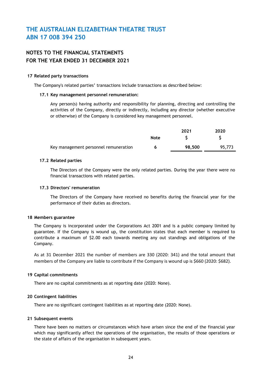### **NOTES TO THE FINANCIAL STATEMENTS FOR THE YEAR ENDED 31 DECEMBER 2021**

#### **17 Related party transactions**

The Company's related parties' transactions include transactions as described below:

#### **17.1 Key management personnel remuneration:**

Any person(s) having authority and responsibility for planning, directing and controlling the activities of the Company, directly or indirectly, including any director (whether executive or otherwise) of the Company is considered key management personnel.

|             | 2021   | 2020   |
|-------------|--------|--------|
| <b>Note</b> |        |        |
| O           | 98,500 | 95,773 |
|             |        |        |

#### **17.2 Related parties**

The Directors of the Company were the only related parties. During the year there were no financial transactions with related parties.

#### **17.3 Directors' remuneration**

The Directors of the Company have received no benefits during the financial year for the performance of their duties as directors.

#### **18 Members guarantee**

The Company is incorporated under the Corporations Act 2001 and is a public company limited by guarantee. If the Company is wound up, the constitution states that each member is required to contribute a maximum of \$2.00 each towards meeting any out standings and obligations of the Company.

As at 31 December 2021 the number of members are 330 (2020: 341) and the total amount that members of the Company are liable to contribute if the Company is wound up is \$660 (2020: \$682).

#### **19 Capital commitments**

There are no capital commitments as at reporting date (2020: None).

#### **20 Contingent liabilities**

There are no significant contingent liabilities as at reporting date (2020: None).

#### **21 Subsequent events**

There have been no matters or circumstances which have arisen since the end of the financial year which may significantly affect the operations of the organisation, the results of those operations or the state of affairs of the organisation in subsequent years.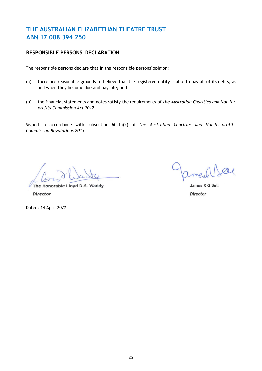### **RESPONSIBLE PERSONS' DECLARATION**

The responsible persons declare that in the responsible persons' opinion:

- (a) there are reasonable grounds to believe that the registered entity is able to pay all of its debts, as and when they become due and payable; and
- (b) the financial statements and notes satisfy the requirements of *the Australian Charities and Not-forprofits Commission Act 2012* .

Signed in accordance with subsection 60.15(2) of *the Australian Charities and Not-for-profits Commission Regulations 2013* .

med

**The Honorable Lloyd D.S. Waddy James R G Bell** *Director Director*

Dated: 14 April 2022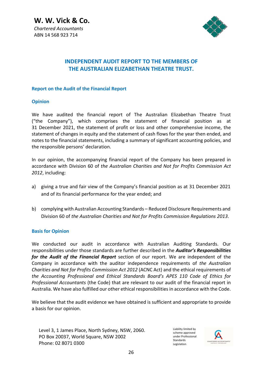**W. W. Vick & Co.**  *Chartered Accountants*  ABN 14 568 923 714



### **INDEPENDENT AUDIT REPORT TO THE MEMBERS OF THE AUSTRALIAN ELIZABETHAN THEATRE TRUST.**

#### **Report on the Audit of the Financial Report**

#### **Opinion**

We have audited the financial report of The Australian Elizabethan Theatre Trust ("the Company"), which comprises the statement of financial position as at 31 December 2021, the statement of profit or loss and other comprehensive income, the statement of changes in equity and the statement of cash flows for the year then ended, and notes to the financial statements, including a summary of significant accounting policies, and the responsible persons' declaration.

In our opinion, the accompanying financial report of the Company has been prepared in accordance with Division 60 of *the Australian Charities and Not for Profits Commission Act 2012*, including:

- a) giving a true and fair view of the Company's financial position as at 31 December 2021 and of its financial performance for the year ended; and
- b) complying with Australian Accounting Standards Reduced Disclosure Requirements and Division 60 of *the Australian Charities and Not for Profits Commission Regulations 2013*.

### **Basis for Opinion**

We conducted our audit in accordance with Australian Auditing Standards. Our responsibilities under those standards are further described in the *Auditor's Responsibilities for the Audit of the Financial Report* section of our report. We are independent of the Company in accordance with the auditor independence requirements of *the Australian Charities and Not for Profits Commission Act 2012* (ACNC Act) and the ethical requirements of *the Accounting Professional and Ethical Standards Board's APES 110 Code of Ethics for Professional Accountants* (the Code) that are relevant to our audit of the financial report in Australia. We have also fulfilled our other ethical responsibilities in accordance with the Code.

We believe that the audit evidence we have obtained is sufficient and appropriate to provide a basis for our opinion.

Level 3, 1 James Place, North Sydney, NSW, 2060. PO Box 20037, World Square, NSW 2002 Phone: 02 8071 0300

Liability limited by scheme approved under Professional Standards Legislation

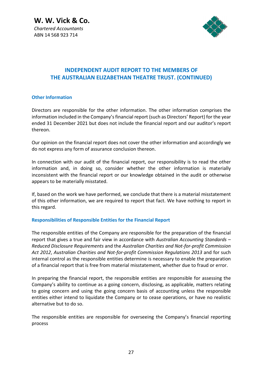**W. W. Vick & Co.**  *Chartered Accountants*  ABN 14 568 923 714



### **INDEPENDENT AUDIT REPORT TO THE MEMBERS OF THE AUSTRALIAN ELIZABETHAN THEATRE TRUST. (CONTINUED)**

#### **Other Information**

Directors are responsible for the other information. The other information comprises the information included in the Company's financial report (such as Directors' Report) for the year ended 31 December 2021 but does not include the financial report and our auditor's report thereon.

Our opinion on the financial report does not cover the other information and accordingly we do not express any form of assurance conclusion thereon.

In connection with our audit of the financial report, our responsibility is to read the other information and, in doing so, consider whether the other information is materially inconsistent with the financial report or our knowledge obtained in the audit or otherwise appears to be materially misstated.

If, based on the work we have performed, we conclude that there is a material misstatement of this other information, we are required to report that fact. We have nothing to report in this regard.

### **Responsibilities of Responsible Entities for the Financial Report**

The responsible entities of the Company are responsible for the preparation of the financial report that gives a true and fair view in accordance with *Australian Accounting Standards – Reduced Disclosure Requirements* and the *Australian Charities and Not-for-profit Commission Act 2012*, *Australian Charities and Not-for-profit Commission Regulations 2013* and for such internal control as the responsible entities determine is necessary to enable the preparation of a financial report that is free from material misstatement, whether due to fraud or error.

In preparing the financial report, the responsible entities are responsible for assessing the Company's ability to continue as a going concern, disclosing, as applicable, matters relating to going concern and using the going concern basis of accounting unless the responsible entities either intend to liquidate the Company or to cease operations, or have no realistic alternative but to do so.

The responsible entities are responsible for overseeing the Company's financial reporting process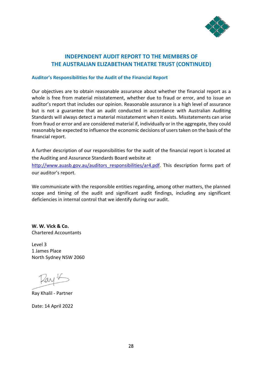

### **INDEPENDENT AUDIT REPORT TO THE MEMBERS OF THE AUSTRALIAN ELIZABETHAN THEATRE TRUST (CONTINUED)**

#### **Auditor's Responsibilities for the Audit of the Financial Report**

Our objectives are to obtain reasonable assurance about whether the financial report as a whole is free from material misstatement, whether due to fraud or error, and to issue an auditor's report that includes our opinion. Reasonable assurance is a high level of assurance but is not a guarantee that an audit conducted in accordance with Australian Auditing Standards will always detect a material misstatement when it exists. Misstatements can arise from fraud or error and are considered material if, individually or in the aggregate, they could reasonably be expected to influence the economic decisions of users taken on the basis of the financial report.

A further description of our responsibilities for the audit of the financial report is located at the Auditing and Assurance Standards Board website at

http://www.auasb.gov.au/auditors\_responsibilities/ar4.pdf. This description forms part of our auditor's report.

We communicate with the responsible entities regarding, among other matters, the planned scope and timing of the audit and significant audit findings, including any significant deficiencies in internal control that we identify during our audit.

**W. W. Vick & Co.**  Chartered Accountants

Level 3 1 James Place North Sydney NSW 2060

ay K

Ray Khalil - Partner

Date: 14 April 2022